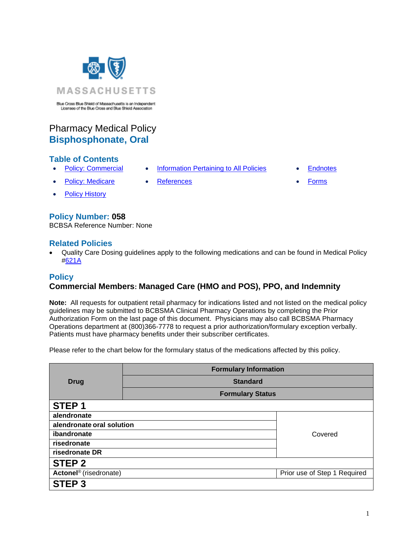

# Pharmacy Medical Policy **Bisphosphonate, Oral**

## **Table of Contents**

- [Policy: Commercial](#page-0-0) [Information Pertaining to All Policies](#page-1-0) [Endnotes](#page-2-0)
- Policy: Medicare [References](#page-2-1) [Forms](http://www.bluecrossma.org/medical-policies/sites/g/files/csphws2091/files/acquiadam-assets/023%20E%20Form%20medication%20prior%20auth%20instruction%20prn.pdf)
- [Policy History](#page-2-2)

## **Policy Number: 058**

BCBSA Reference Number: None

## **Related Policies**

• Quality Care Dosing guidelines apply to the following medications and can be found in Medical Policy [#621A](http://www.bluecrossma.org/medical-policies/sites/g/files/csphws2091/files/acquiadam-assets/621A%20Quality%20Care%20Dosing%20Guidelines%20prn.pdf)

## <span id="page-0-0"></span>**Policy**

## **Commercial Members: Managed Care (HMO and POS), PPO, and Indemnity**

**Note:** All requests for outpatient retail pharmacy for indications listed and not listed on the medical policy guidelines may be submitted to BCBSMA Clinical Pharmacy Operations by completing the Prior Authorization Form on the last page of this document. Physicians may also call BCBSMA Pharmacy Operations department at (800)366-7778 to request a prior authorization/formulary exception verbally. Patients must have pharmacy benefits under their subscriber certificates.

Please refer to the chart below for the formulary status of the medications affected by this policy.

|                                    | <b>Formulary Information</b> |                              |  |
|------------------------------------|------------------------------|------------------------------|--|
| <b>Drug</b>                        | <b>Standard</b>              |                              |  |
|                                    | <b>Formulary Status</b>      |                              |  |
| STEP <sub>1</sub>                  |                              |                              |  |
| alendronate                        |                              |                              |  |
| alendronate oral solution          |                              |                              |  |
| ibandronate                        |                              | Covered                      |  |
| risedronate                        |                              |                              |  |
| risedronate DR                     |                              |                              |  |
| <b>STEP 2</b>                      |                              |                              |  |
| Actonel <sup>®</sup> (risedronate) |                              | Prior use of Step 1 Required |  |
| <b>STEP 3</b>                      |                              |                              |  |

- 
-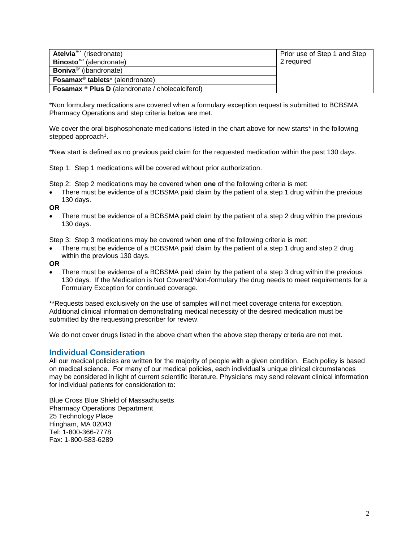| <b>Atelvia</b> <sup>™*</sup> (risedronate)                    | Prior use of Step 1 and Step |
|---------------------------------------------------------------|------------------------------|
| <b>Binosto</b> <sup>™*</sup> (alendronate)                    | 2 required                   |
| <b>Boniva<sup>®*</sup></b> (ibandronate)                      |                              |
| <b>Fosamax<sup>®</sup></b> tablets <sup>*</sup> (alendronate) |                              |
| <b>Fosamax ® Plus D</b> (alendronate / cholecalciferol)       |                              |

\*Non formulary medications are covered when a formulary exception request is submitted to BCBSMA Pharmacy Operations and step criteria below are met.

We cover the oral bisphosphonate medications listed in the chart above for new starts\* in the following stepped approach<sup>1</sup>.

\*New start is defined as no previous paid claim for the requested medication within the past 130 days.

Step 1: Step 1 medications will be covered without prior authorization.

Step 2: Step 2 medications may be covered when **one** of the following criteria is met:

There must be evidence of a BCBSMA paid claim by the patient of a step 1 drug within the previous 130 days.

**OR**

There must be evidence of a BCBSMA paid claim by the patient of a step 2 drug within the previous 130 days.

Step 3: Step 3 medications may be covered when **one** of the following criteria is met:

There must be evidence of a BCBSMA paid claim by the patient of a step 1 drug and step 2 drug within the previous 130 days.

**OR**

There must be evidence of a BCBSMA paid claim by the patient of a step 3 drug within the previous 130 days. If the Medication is Not Covered/Non-formulary the drug needs to meet requirements for a Formulary Exception for continued coverage.

\*\*Requests based exclusively on the use of samples will not meet coverage criteria for exception. Additional clinical information demonstrating medical necessity of the desired medication must be submitted by the requesting prescriber for review.

We do not cover drugs listed in the above chart when the above step therapy criteria are not met.

#### <span id="page-1-0"></span>**Individual Consideration**

All our medical policies are written for the majority of people with a given condition. Each policy is based on medical science. For many of our medical policies, each individual's unique clinical circumstances may be considered in light of current scientific literature. Physicians may send relevant clinical information for individual patients for consideration to:

Blue Cross Blue Shield of Massachusetts Pharmacy Operations Department 25 Technology Place Hingham, MA 02043 Tel: 1-800-366-7778 Fax: 1-800-583-6289